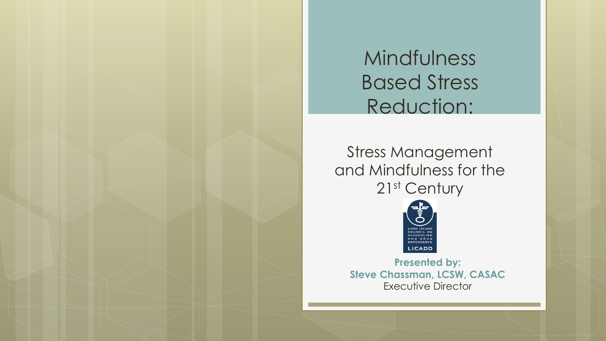Mindfulness Based Stress Reduction:

Stress Management and Mindfulness for the 21<sup>st</sup> Century



**Presented by: Steve Chassman, LCSW, CASAC** Executive Director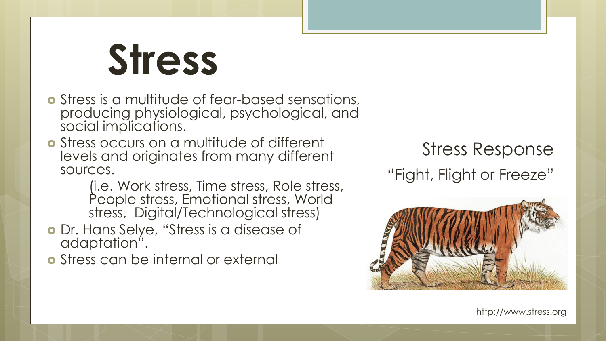# **Stress**

- Stress is a multitude of fear-based sensations, producing physiological, psychological, and social implications.
- Stress occurs on a multitude of different levels and originates from many different sources.

(i.e. Work stress, Time stress, Role stress, People stress, Emotional stress, World stress, Digital/Technological stress)

 Dr. Hans Selye, "Stress is a disease of adaptation".

Stress can be internal or external

Stress Response

"Fight, Flight or Freeze"



http://www.stress.org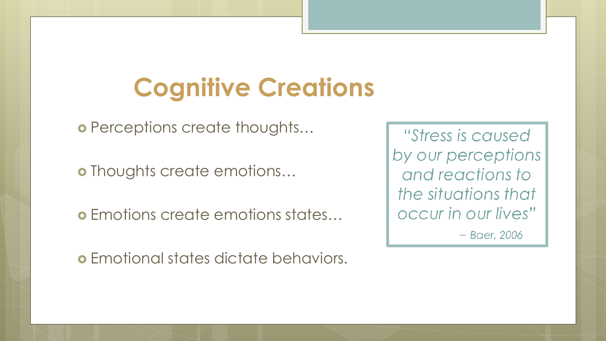### **Cognitive Creations**

o Perceptions create thoughts...

o Thoughts create emotions...

Emotions create emotions states…

Emotional states dictate behaviors.

"Stress is caused" by our perceptions and reactions to the situations that occur in our lives"  $-$  Baer, 2006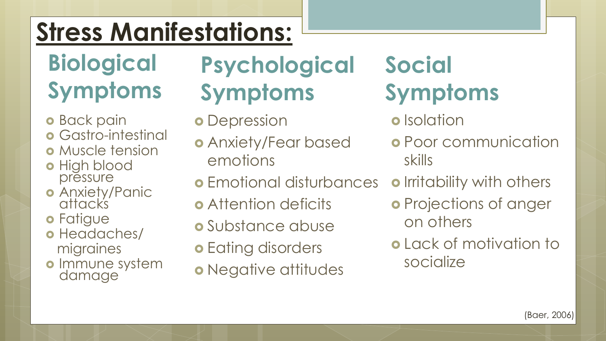### **Stress Manifestations:**

#### **Biological Symptoms**

- **o** Back pain
- **o** Gastro-intestinal
- o Muscle tension
- o High blood pressure
- o Anxiety/Panic attacks
- o Fatigue
- o Headaches/ migraines
- o Immune system damage

### **Psychological Symptoms**

- **o** Depression
- Anxiety/Fear based emotions
- Emotional disturbances
- **•** Attention deficits
- **o** Substance abuse
- **o** Eating disorders
- o Negative attitudes

#### **Social Symptoms**

- **o** Isolation
- **o** Poor communication skills
- o Irritability with others
- o Projections of anger on others
- Lack of motivation to socialize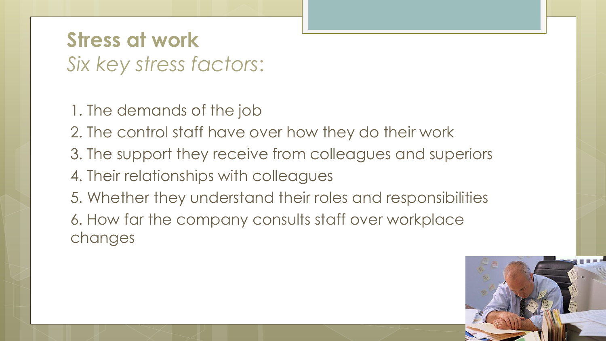#### **Stress at work** *Six key stress factors*:

- 1. The demands of the job
- 2. The control staff have over how they do their work
- 3. The support they receive from colleagues and superiors
- 4. Their relationships with colleagues
- 5. Whether they understand their roles and responsibilities 6. How far the company consults staff over workplace changes

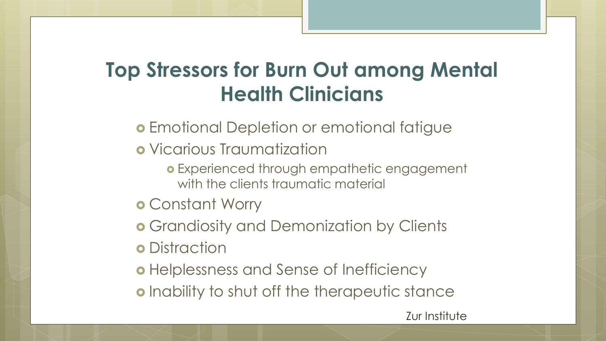#### **Top Stressors for Burn Out among Mental Health Clinicians**

- **Emotional Depletion or emotional fatigue**
- Vicarious Traumatization
	- Experienced through empathetic engagement with the clients traumatic material
- Constant Worry
- **o** Grandiosity and Demonization by Clients
- **o** Distraction
- o Helplessness and Sense of Inefficiency
- **o** Inability to shut off the therapeutic stance

Zur Institute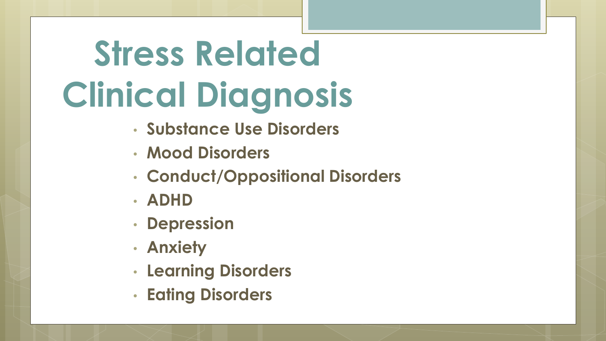## **Stress Related Clinical Diagnosis**

- **Substance Use Disorders**
- **Mood Disorders**
- **Conduct/Oppositional Disorders**
- **ADHD**
- **Depression**
- **Anxiety**
- **Learning Disorders**
- **Eating Disorders**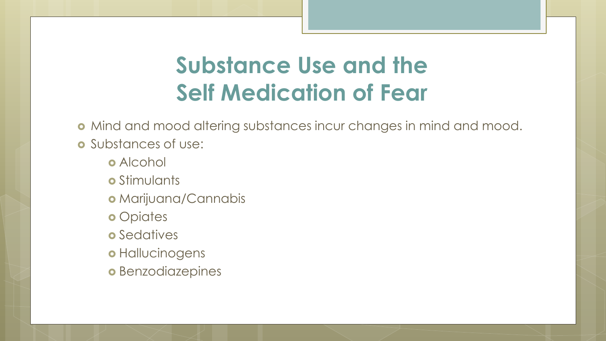#### **Substance Use and the Self Medication of Fear**

Mind and mood altering substances incur changes in mind and mood.

- o Substances of use:
	- **o** Alcohol
	- o Stimulants
	- Marijuana/Cannabis
	- **o** Opiates
	- **o** Sedatives
	- o Hallucinogens
	- **o** Benzodiazepines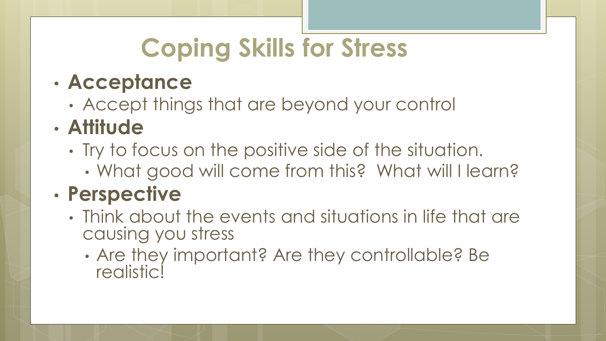## **Coping Skills for Stress**

#### • **Acceptance**

• Accept things that are beyond your control

#### • **Attitude**

- Try to focus on the positive side of the situation.
	- What good will come from this? What will I learn?

#### • **Perspective**

- Think about the events and situations in life that are causing you stress
	- Are they important? Are they controllable? Be **realistic!**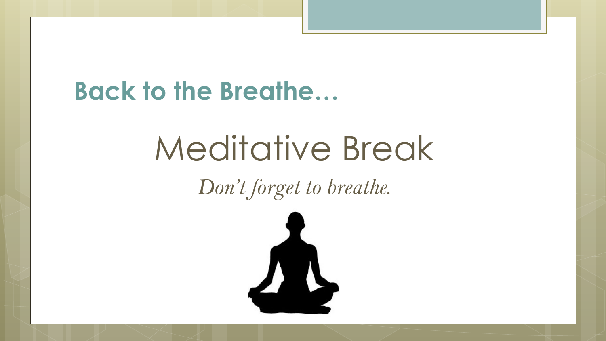#### **Back to the Breathe…**

## Meditative Break

*Don't forget to breathe.*

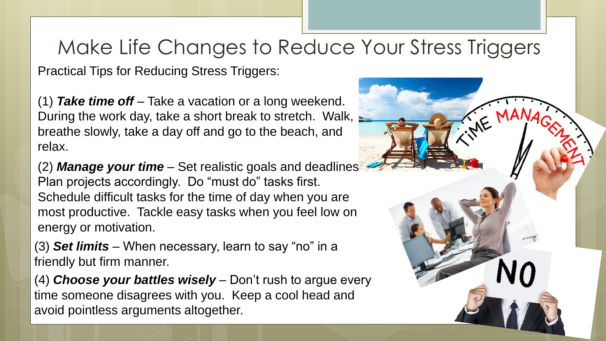#### Make Life Changes to Reduce Your Stress Triggers

Practical Tips for Reducing Stress Triggers:

(1) *Take time off* – Take a vacation or a long weekend. During the work day, take a short break to stretch. Walk, breathe slowly, take a day off and go to the beach, and relax.

(2) *Manage your time* – Set realistic goals and deadlines. Plan projects accordingly. Do "must do" tasks first. Schedule difficult tasks for the time of day when you are most productive. Tackle easy tasks when you feel low on energy or motivation.

(3) *Set limits* – When necessary, learn to say "no" in a friendly but firm manner.

(4) *Choose your battles wisely* – Don't rush to argue every time someone disagrees with you. Keep a cool head and avoid pointless arguments altogether.

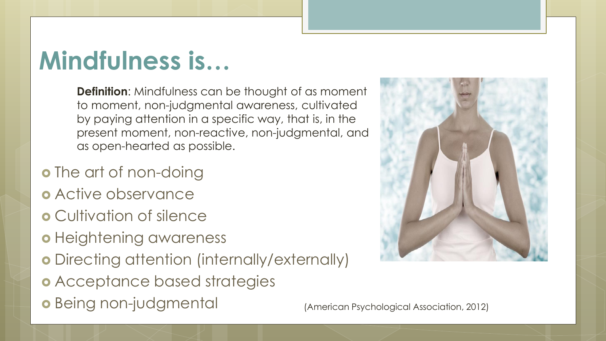### **Mindfulness is…**

**Definition**: Mindfulness can be thought of as moment to moment, non-judgmental awareness, cultivated by paying attention in a specific way, that is, in the present moment, non-reactive, non-judgmental, and as open-hearted as possible.

- o The art of non-doing
- **o** Active observance
- Cultivation of silence
- o Heightening awareness
- Directing attention (internally/externally)
- Acceptance based strategies
- Being non-judgmental (American Psychological Association, 2012)

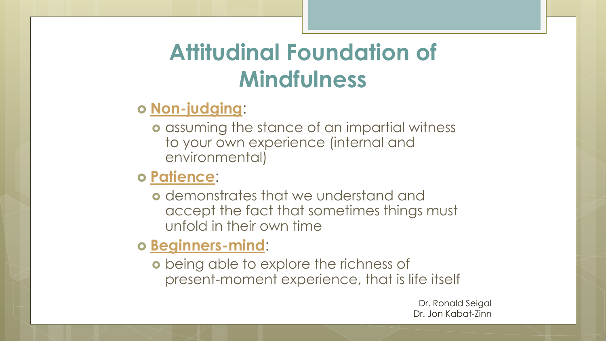#### **Attitudinal Foundation of Mindfulness**

#### **Non-judging**:

**o** assuming the stance of an impartial witness to your own experience (internal and environmental)

#### **Patience**:

**o** demonstrates that we understand and accept the fact that sometimes things must unfold in their own time

#### **Beginners-mind**:

**o** being able to explore the richness of present-moment experience, that is life itself

> Dr. Ronald Seigal Dr. Jon Kabat-Zinn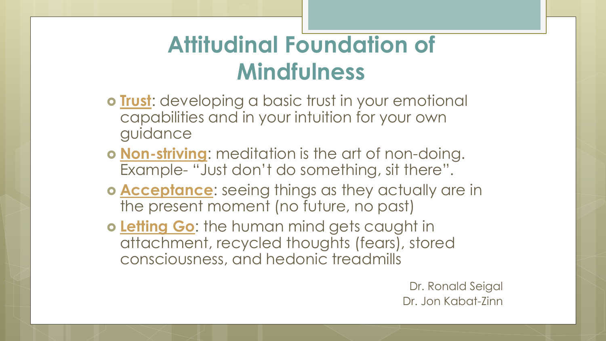#### **Attitudinal Foundation of Mindfulness**

- **Trust**: developing a basic trust in your emotional capabilities and in your intuition for your own guidance
- **Non-striving**: meditation is the art of non-doing. Example- "Just don't do something, sit there".
- **Acceptance**: seeing things as they actually are in the present moment (no future, no past)
- **o Letting Go:** the human mind gets caught in attachment, recycled thoughts (fears), stored consciousness, and hedonic treadmills

Dr. Ronald Seigal Dr. Jon Kabat-Zinn